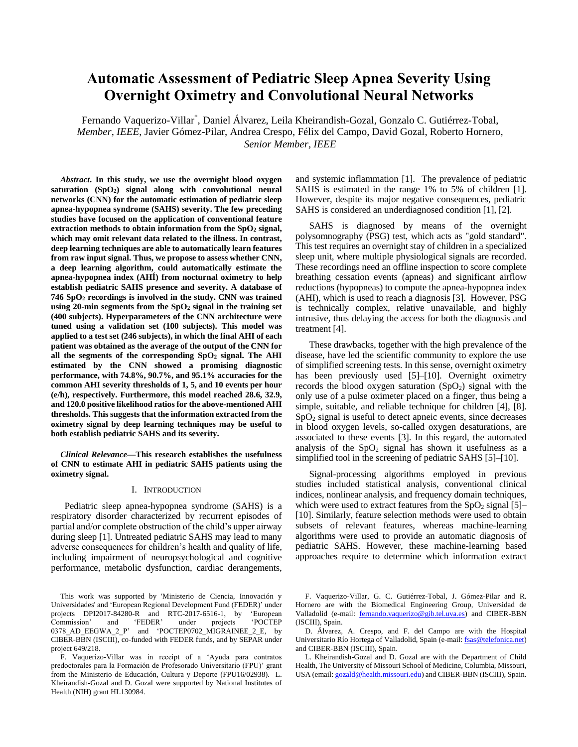# **Automatic Assessment of Pediatric Sleep Apnea Severity Using Overnight Oximetry and Convolutional Neural Networks**

Fernando Vaquerizo-Villar\* , Daniel Álvarez, Leila Kheirandish-Gozal, Gonzalo C. Gutiérrez-Tobal, *Member, IEEE*, Javier Gómez-Pilar, Andrea Crespo, Félix del Campo, David Gozal, Roberto Hornero, *Senior Member, IEEE*

*Abstract***. In this study, we use the overnight blood oxygen saturation (SpO2) signal along with convolutional neural networks (CNN) for the automatic estimation of pediatric sleep apnea-hypopnea syndrome (SAHS) severity. The few preceding studies have focused on the application of conventional feature extraction methods to obtain information from the SpO<sup>2</sup> signal, which may omit relevant data related to the illness. In contrast, deep learning techniques are able to automatically learn features from raw input signal. Thus, we propose to assess whether CNN, a deep learning algorithm, could automatically estimate the apnea-hypopnea index (AHÍ) from nocturnal oximetry to help establish pediatric SAHS presence and severity. A database of 746 SpO<sup>2</sup> recordings is involved in the study. CNN was trained using 20-min segments from the SpO<sup>2</sup> signal in the training set (400 subjects). Hyperparameters of the CNN architecture were tuned using a validation set (100 subjects). This model was applied to a test set (246 subjects), in which the final AHI of each patient was obtained as the average of the output of the CNN for all the segments of the corresponding SpO<sup>2</sup> signal. The AHI estimated by the CNN showed a promising diagnostic performance, with 74.8%, 90.7%, and 95.1% accuracies for the common AHI severity thresholds of 1, 5, and 10 events per hour (e/h), respectively. Furthermore, this model reached 28.6, 32.9, and 120.0 positive likelihood ratios for the above-mentioned AHI thresholds. This suggests that the information extracted from the oximetry signal by deep learning techniques may be useful to both establish pediatric SAHS and its severity.**

*Clinical Relevance***—This research establishes the usefulness of CNN to estimate AHI in pediatric SAHS patients using the oximetry signal.**

## I. INTRODUCTION

Pediatric sleep apnea-hypopnea syndrome (SAHS) is a respiratory disorder characterized by recurrent episodes of partial and/or complete obstruction of the child's upper airway during sleep [1]. Untreated pediatric SAHS may lead to many adverse consequences for children's health and quality of life, including impairment of neuropsychological and cognitive performance, metabolic dysfunction, cardiac derangements,

and systemic inflammation [1]. The prevalence of pediatric SAHS is estimated in the range 1% to 5% of children [1]. However, despite its major negative consequences, pediatric SAHS is considered an underdiagnosed condition [1], [2].

SAHS is diagnosed by means of the overnight polysomnography (PSG) test, which acts as "gold standard". This test requires an overnight stay of children in a specialized sleep unit, where multiple physiological signals are recorded. These recordings need an offline inspection to score complete breathing cessation events (apneas) and significant airflow reductions (hypopneas) to compute the apnea-hypopnea index (AHI), which is used to reach a diagnosis [3]. However, PSG is technically complex, relative unavailable, and highly intrusive, thus delaying the access for both the diagnosis and treatment [4].

These drawbacks, together with the high prevalence of the disease, have led the scientific community to explore the use of simplified screening tests. In this sense, overnight oximetry has been previously used [5]–[10]. Overnight oximetry records the blood oxygen saturation  $(SpO<sub>2</sub>)$  signal with the only use of a pulse oximeter placed on a finger, thus being a simple, suitable, and reliable technique for children [4], [8].  $SpO<sub>2</sub>$  signal is useful to detect apneic events, since decreases in blood oxygen levels, so-called oxygen desaturations, are associated to these events [3]. In this regard, the automated analysis of the  $SpO<sub>2</sub>$  signal has shown it usefulness as a simplified tool in the screening of pediatric SAHS [5]–[10].

Signal-processing algorithms employed in previous studies included statistical analysis, conventional clinical indices, nonlinear analysis, and frequency domain techniques, which were used to extract features from the  $SpO<sub>2</sub>$  signal [5]– [10]. Similarly, feature selection methods were used to obtain subsets of relevant features, whereas machine-learning algorithms were used to provide an automatic diagnosis of pediatric SAHS. However, these machine-learning based approaches require to determine which information extract

This work was supported by 'Ministerio de Ciencia, Innovación y Universidades' and 'European Regional Development Fund (FEDER)' under projects DPI2017-84280-R and RTC-2017-6516-1, by 'European Commission' and 'FEDER' under projects 'POCTEP Commission' and 'FEDER' under projects 'POCTEP 0378\_AD\_EEGWA\_2\_P' and 'POCTEP0702\_MIGRAINEE\_2\_E, by CIBER-BBN (ISCIII), co-funded with FEDER funds, and by SEPAR under project 649/218.

F. Vaquerizo-Villar was in receipt of a 'Ayuda para contratos predoctorales para la Formación de Profesorado Universitario (FPU)' grant from the Ministerio de Educación, Cultura y Deporte (FPU16/02938). L. Kheirandish-Gozal and D. Gozal were supported by National Institutes of Health (NIH) grant HL130984.

F. Vaquerizo-Villar, G. C. Gutiérrez-Tobal, J. Gómez-Pilar and R. Hornero are with the Biomedical Engineering Group, Universidad de Valladolid (e-mail: [fernando.vaquerizo@gib.tel.uva.es\)](mailto:fernando.vaquerizo@gib.tel.uva.es) and CIBER-BBN (ISCIII), Spain.

D. Álvarez, A. Crespo, and F. del Campo are with the Hospital Universitario Río Hortega of Valladolid, Spain (e-mail[: fsas@telefonica.net\)](mailto:fsas@telefonica.net) and CIBER-BBN (ISCIII), Spain.

L. Kheirandish-Gozal and D. Gozal are with the Department of Child Health, The University of Missouri School of Medicine, Columbia, Missouri, USA (email[: gozald@health.missouri.edu\)](mailto:gozald@health.missouri.edu) and CIBER-BBN (ISCIII), Spain.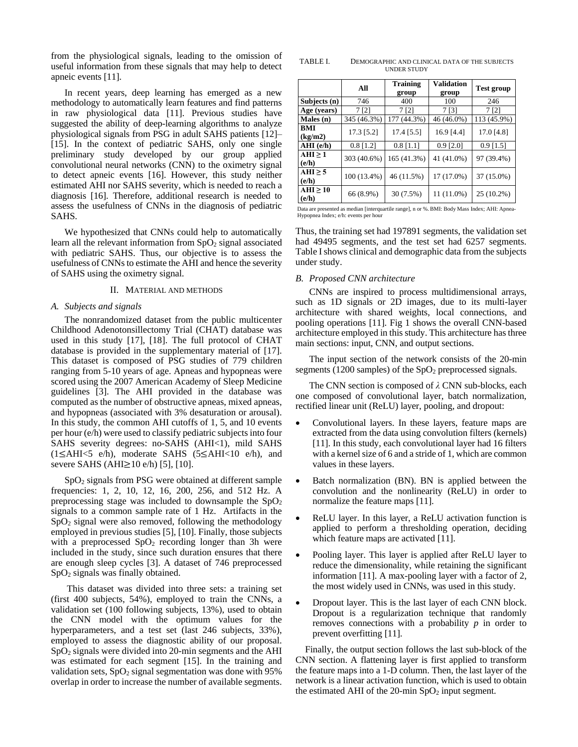from the physiological signals, leading to the omission of useful information from these signals that may help to detect apneic events [11].

In recent years, deep learning has emerged as a new methodology to automatically learn features and find patterns in raw physiological data [11]. Previous studies have suggested the ability of deep-learning algorithms to analyze physiological signals from PSG in adult SAHS patients [12]– [15]. In the context of pediatric SAHS, only one single preliminary study developed by our group applied convolutional neural networks (CNN) to the oximetry signal to detect apneic events [16]. However, this study neither estimated AHI nor SAHS severity, which is needed to reach a diagnosis [16]. Therefore, additional research is needed to assess the usefulness of CNNs in the diagnosis of pediatric SAHS.

We hypothesized that CNNs could help to automatically learn all the relevant information from  $SpO<sub>2</sub>$  signal associated with pediatric SAHS. Thus, our objective is to assess the usefulness of CNNs to estimate the AHI and hence the severity of SAHS using the oximetry signal.

## II. MATERIAL AND METHODS

# *A. Subjects and signals*

The nonrandomized dataset from the public multicenter Childhood Adenotonsillectomy Trial (CHAT) database was used in this study [17], [18]. The full protocol of CHAT database is provided in the supplementary material of [17]. This dataset is composed of PSG studies of 779 children ranging from 5-10 years of age. Apneas and hypopneas were scored using the 2007 American Academy of Sleep Medicine guidelines [3]. The AHI provided in the database was computed as the number of obstructive apneas, mixed apneas, and hypopneas (associated with 3% desaturation or arousal). In this study, the common AHI cutoffs of 1, 5, and 10 events per hour (e/h) were used to classify pediatric subjects into four SAHS severity degrees: no-SAHS (AHI<1), mild SAHS  $(1\leq AHI<5 e/h)$ , moderate SAHS (5 $\leq AHI<10 e/h$ ), and severe SAHS (AHI≥10 e/h) [5], [10].

SpO<sup>2</sup> signals from PSG were obtained at different sample frequencies: 1, 2, 10, 12, 16, 200, 256, and 512 Hz. A preprocessing stage was included to downsample the  $SpO<sub>2</sub>$ signals to a common sample rate of 1 Hz. Artifacts in the  $SpO<sub>2</sub>$  signal were also removed, following the methodology employed in previous studies [5], [10]. Finally, those subjects with a preprocessed  $SpO<sub>2</sub>$  recording longer than 3h were included in the study, since such duration ensures that there are enough sleep cycles [3]. A dataset of 746 preprocessed SpO<sup>2</sup> signals was finally obtained.

This dataset was divided into three sets: a training set (first 400 subjects, 54%), employed to train the CNNs, a validation set (100 following subjects, 13%), used to obtain the CNN model with the optimum values for the hyperparameters, and a test set (last 246 subjects, 33%), employed to assess the diagnostic ability of our proposal. SpO<sup>2</sup> signals were divided into 20-min segments and the AHI was estimated for each segment [15]. In the training and validation sets,  $SpO<sub>2</sub>$  signal segmentation was done with 95% overlap in order to increase the number of available segments.

TABLE I. DEMOGRAPHIC AND CLINICAL DATA OF THE SUBJECTS UNDER STUDY

|                        | All         | <b>Training</b><br>group | <b>Validation</b><br>group | <b>Test group</b> |  |
|------------------------|-------------|--------------------------|----------------------------|-------------------|--|
| Subjects (n)           | 746         | 400                      | 100                        | 246               |  |
| Age (years)            | 7 [2]       | 7 [2]                    | 7 [3]                      | 7 <sub>[2]</sub>  |  |
| Males (n)              | 345 (46.3%) | 177 (44.3%)              | 46 (46.0%)                 | 113 (45.9%)       |  |
| <b>BMI</b><br>(kg/m2)  | 17.3 [5.2]  | 17.4 [5.5]               | $16.9$ [4.4]               | $17.0$ [4.8]      |  |
| $AHI$ (e/h)            | $0.8$ [1.2] | $0.8$ [1.1]              | $0.9$ [2.0]                | $0.9$ [1.5]       |  |
| $AHI \geq 1$<br>(e/h)  | 303 (40.6%) | 165 (41.3%)              | 41 (41.0%)                 | 97 (39.4%)        |  |
| AHI $\geq$ 5<br>(e/h)  | 100 (13.4%) | 46 (11.5%)               | 17 (17.0%)                 | 37 (15.0%)        |  |
| $AHI \geq 10$<br>(e/h) | 66 (8.9%)   | 30 (7.5%)                | 11 (11.0%)                 | 25 (10.2%)        |  |

Data are presented as median [interquartile range], n or %. BMI: Body Mass Index; AHI: Apnea-Hypopnea Index; e/h: events per hour

Thus, the training set had 197891 segments, the validation set had 49495 segments, and the test set had 6257 segments. Table I shows clinical and demographic data from the subjects under study.

# *B. Proposed CNN architecture*

CNNs are inspired to process multidimensional arrays, such as 1D signals or 2D images, due to its multi-layer architecture with shared weights, local connections, and pooling operations [11]. Fig 1 shows the overall CNN-based architecture employed in this study. This architecture has three main sections: input, CNN, and output sections.

The input section of the network consists of the 20-min segments (1200 samples) of the  $SpO<sub>2</sub>$  preprocessed signals.

The CNN section is composed of *λ* CNN sub-blocks, each one composed of convolutional layer, batch normalization, rectified linear unit (ReLU) layer, pooling, and dropout:

- Convolutional layers. In these layers, feature maps are extracted from the data using convolution filters (kernels) [11]. In this study, each convolutional layer had 16 filters with a kernel size of 6 and a stride of 1, which are common values in these layers.
- Batch normalization (BN). BN is applied between the convolution and the nonlinearity (ReLU) in order to normalize the feature maps [11].
- ReLU layer. In this layer, a ReLU activation function is applied to perform a thresholding operation, deciding which feature maps are activated [11].
- Pooling layer. This layer is applied after ReLU layer to reduce the dimensionality, while retaining the significant information [11]. A max-pooling layer with a factor of 2, the most widely used in CNNs, was used in this study.
- Dropout layer. This is the last layer of each CNN block. Dropout is a regularization technique that randomly removes connections with a probability *p* in order to prevent overfitting [11].

Finally, the output section follows the last sub-block of the CNN section. A flattening layer is first applied to transform the feature maps into a 1-D column. Then, the last layer of the network is a linear activation function, which is used to obtain the estimated AHI of the  $20$ -min  $SpO<sub>2</sub>$  input segment.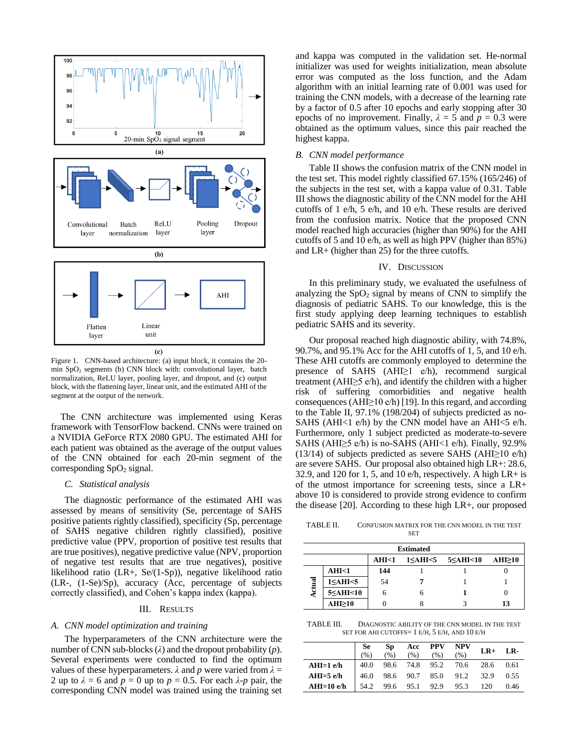

Figure 1. CNN-based architecture: (a) input block, it contains the 20 min SpO<sup>2</sup> segments (b) CNN block with: convolutional layer, batch normalization, ReLU layer, pooling layer, and dropout, and (c) output block, with the flattening layer, linear unit, and the estimated AHI of the segment at the output of the network.

The CNN architecture was implemented using Keras framework with TensorFlow backend. CNNs were trained on a NVIDIA GeForce RTX 2080 GPU. The estimated AHI for each patient was obtained as the average of the output values of the CNN obtained for each 20-min segment of the corresponding  $SpO<sub>2</sub>$  signal.

## *C. Statistical analysis*

The diagnostic performance of the estimated AHI was assessed by means of sensitivity (Se, percentage of SAHS positive patients rightly classified), specificity (Sp, percentage of SAHS negative children rightly classified), positive predictive value (PPV, proportion of positive test results that are true positives), negative predictive value (NPV, proportion of negative test results that are true negatives), positive likelihood ratio (LR+, Se/(1-Sp)), negative likelihood ratio (LR-, (1-Se)/Sp), accuracy (Acc, percentage of subjects correctly classified), and Cohen's kappa index (kappa).

# III. RESULTS

## *A. CNN model optimization and training*

The hyperparameters of the CNN architecture were the number of CNN sub-blocks (*λ*) and the dropout probability (*p*). Several experiments were conducted to find the optimum values of these hyperparameters.  $\lambda$  and  $p$  were varied from  $\lambda =$ 2 up to  $λ = 6$  and  $p = 0$  up to  $p = 0.5$ . For each  $λ$ - $p$  pair, the corresponding CNN model was trained using the training set and kappa was computed in the validation set. He-normal initializer was used for weights initialization, mean absolute error was computed as the loss function, and the Adam algorithm with an initial learning rate of 0.001 was used for training the CNN models, with a decrease of the learning rate by a factor of 0.5 after 10 epochs and early stopping after 30 epochs of no improvement. Finally,  $\lambda = 5$  and  $p = 0.3$  were obtained as the optimum values, since this pair reached the highest kappa.

# *B. CNN model performance*

Table II shows the confusion matrix of the CNN model in the test set. This model rightly classified 67.15% (165/246) of the subjects in the test set, with a kappa value of 0.31. Table III shows the diagnostic ability of the CNN model for the AHI cutoffs of 1 e/h, 5 e/h, and 10 e/h. These results are derived from the confusion matrix. Notice that the proposed CNN model reached high accuracies (higher than 90%) for the AHI cutoffs of 5 and 10 e/h, as well as high PPV (higher than 85%) and LR+ (higher than 25) for the three cutoffs.

# IV. DISCUSSION

In this preliminary study, we evaluated the usefulness of analyzing the  $SpO<sub>2</sub>$  signal by means of CNN to simplify the diagnosis of pediatric SAHS. To our knowledge, this is the first study applying deep learning techniques to establish pediatric SAHS and its severity.

Our proposal reached high diagnostic ability, with 74.8%, 90.7%, and 95.1% Acc for the AHI cutoffs of 1, 5, and 10 e/h. These AHI cutoffs are commonly employed to determine the presence of SAHS (AHI≥1 e/h), recommend surgical treatment (AHI≥5 e/h), and identify the children with a higher risk of suffering comorbidities and negative health consequences (AHI $\geq$ 10 e/h) [19]. In this regard, and according to the Table II, 97.1% (198/204) of subjects predicted as no-SAHS (AHI<1 e/h) by the CNN model have an AHI $<$ 5 e/h. Furthermore, only 1 subject predicted as moderate-to-severe SAHS (AHI $\geq$ 5 e/h) is no-SAHS (AHI<1 e/h). Finally, 92.9% (13/14) of subjects predicted as severe SAHS (AHI $\geq$ 10 e/h) are severe SAHS. Our proposal also obtained high LR+: 28.6, 32.9, and 120 for 1, 5, and 10 e/h, respectively. A high  $LR + is$ of the utmost importance for screening tests, since a LR+ above 10 is considered to provide strong evidence to confirm the disease [20]. According to these high LR+, our proposed

TABLE II. CONFUSION MATRIX FOR THE CNN MODEL IN THE TEST **SET** 

| <b>Estimated</b> |                     |       |   |                                      |        |  |  |  |  |
|------------------|---------------------|-------|---|--------------------------------------|--------|--|--|--|--|
|                  |                     | AHI<1 |   | $1 \leq AHI \leq 5 \leq AHI \leq 10$ | AHI>10 |  |  |  |  |
|                  | AHI<1               | 144   |   |                                      |        |  |  |  |  |
| ਫ਼               | $1 \leq AHI \leq 5$ | 54    |   |                                      |        |  |  |  |  |
| 튱                | 5≤AHI<10            |       | n |                                      |        |  |  |  |  |
|                  | AHI≥10              |       |   |                                      | 13     |  |  |  |  |

TABLE III. DIAGNOSTIC ABILITY OF THE CNN MODEL IN THE TEST SET FOR AHI CUTOFFS= 1 E/H, 5 E/H, AND 10 E/H

|             | Se<br>$\%$ ) | Sp<br>$\frac{9}{6}$ | Acc<br>(% )    | <b>PPV</b><br>(% ) | NPV<br>(% )              | $LR+$ | LR-  |
|-------------|--------------|---------------------|----------------|--------------------|--------------------------|-------|------|
| $AHI=1$ e/h | 40.0         |                     |                |                    | 98.6 74.8 95.2 70.6 28.6 |       | 0.61 |
| $AHI=5$ e/h | 46.0         |                     |                |                    | 98.6 90.7 85.0 91.2 32.9 |       | 0.55 |
| AHI=10 e/h  | 54.2         |                     | 99.6 95.1 92.9 |                    | 95.3                     | 120   | 0.46 |